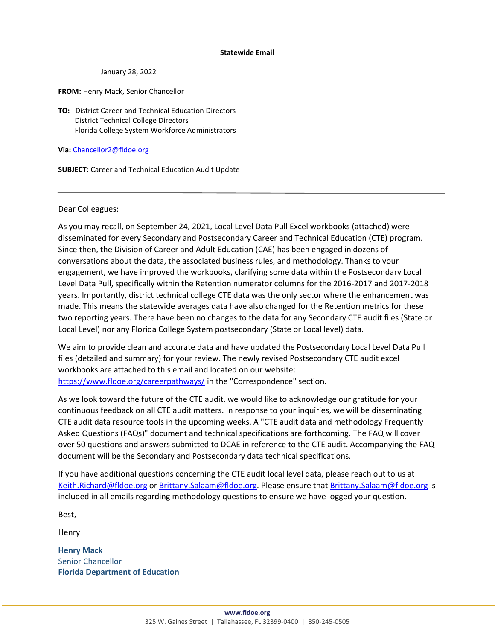## **Statewide Email**

**DATE SENT:** January 28, 2022

**FROM:** Henry Mack, Senior Chancellor

**TO:** District Career and Technical Education Directors District Technical College Directors Florida College System Workforce Administrators

**Via:** [Chancellor2@fldoe.org](mailto:Chancellor2@fldoe.org)

**SUBJECT:** Career and Technical Education Audit Update

Dear Colleagues:

As you may recall, on September 24, 2021, Local Level Data Pull Excel workbooks (attached) were disseminated for every Secondary and Postsecondary Career and Technical Education (CTE) program. Since then, the Division of Career and Adult Education (CAE) has been engaged in dozens of conversations about the data, the associated business rules, and methodology. Thanks to your engagement, we have improved the workbooks, clarifying some data within the Postsecondary Local Level Data Pull, specifically within the Retention numerator columns for the 2016-2017 and 2017-2018 years. Importantly, district technical college CTE data was the only sector where the enhancement was made. This means the statewide averages data have also changed for the Retention metrics for these two reporting years. There have been no changes to the data for any Secondary CTE audit files (State or Local Level) nor any Florida College System postsecondary (State or Local level) data.

We aim to provide clean and accurate data and have updated the Postsecondary Local Level Data Pull files (detailed and summary) for your review. The newly revised Postsecondary CTE audit excel workbooks are attached to this email and located on our website: <https://www.fldoe.org/careerpathways/> in the "Correspondence" section.

As we look toward the future of the CTE audit, we would like to acknowledge our gratitude for your continuous feedback on all CTE audit matters. In response to your inquiries, we will be disseminating CTE audit data resource tools in the upcoming weeks. A "CTE audit data and methodology Frequently Asked Questions (FAQs)" document and technical specifications are forthcoming. The FAQ will cover over 50 questions and answers submitted to DCAE in reference to the CTE audit. Accompanying the FAQ document will be the Secondary and Postsecondary data technical specifications.

If you have additional questions concerning the CTE audit local level data, please reach out to us at [Keith.Richard@fldoe.org](mailto:Keith.Richard@fldoe.org) o[r Brittany.Salaam@fldoe.org.](mailto:Brittany.Salaam@fldoe.org) Please ensure that [Brittany.Salaam@fldoe.org](mailto:Brittany.Salaam@fldoe.org) is included in all emails regarding methodology questions to ensure we have logged your question.

Best,

Henry

**Henry Mack** Senior Chancellor **Florida Department of Education**